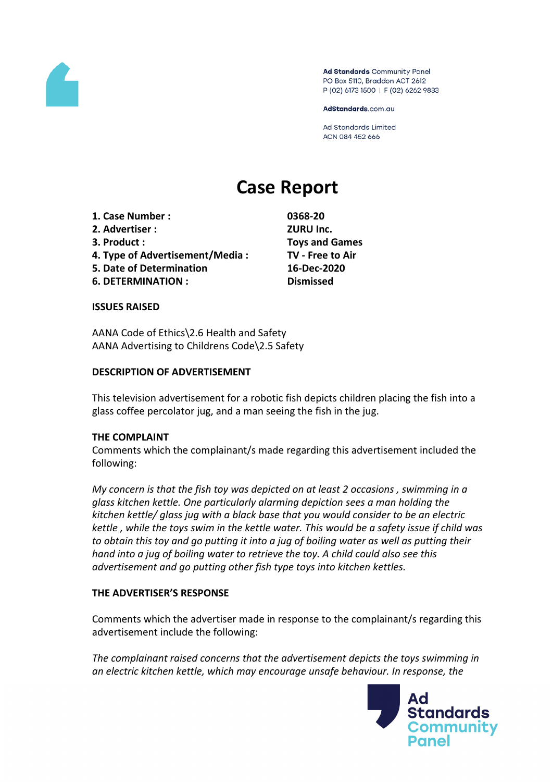

Ad Standards Community Panel PO Box 5110, Braddon ACT 2612 P (02) 6173 1500 | F (02) 6262 9833

AdStandards.com.au

**Ad Standards Limited** ACN 084 452 666

# **Case Report**

- **1. Case Number : 0368-20**
- **2. Advertiser : ZURU Inc.**
- 
- **4. Type of Advertisement/Media : TV - Free to Air**
- **5. Date of Determination 16-Dec-2020**
- **6. DETERMINATION : Dismissed**

**3. Product : Toys and Games**

## **ISSUES RAISED**

AANA Code of Ethics\2.6 Health and Safety AANA Advertising to Childrens Code\2.5 Safety

## **DESCRIPTION OF ADVERTISEMENT**

This television advertisement for a robotic fish depicts children placing the fish into a glass coffee percolator jug, and a man seeing the fish in the jug.

## **THE COMPLAINT**

Comments which the complainant/s made regarding this advertisement included the following:

*My concern is that the fish toy was depicted on at least 2 occasions , swimming in a glass kitchen kettle. One particularly alarming depiction sees a man holding the kitchen kettle/ glass jug with a black base that you would consider to be an electric kettle , while the toys swim in the kettle water. This would be a safety issue if child was to obtain this toy and go putting it into a jug of boiling water as well as putting their hand into a jug of boiling water to retrieve the toy. A child could also see this advertisement and go putting other fish type toys into kitchen kettles.*

## **THE ADVERTISER'S RESPONSE**

Comments which the advertiser made in response to the complainant/s regarding this advertisement include the following:

*The complainant raised concerns that the advertisement depicts the toys swimming in an electric kitchen kettle, which may encourage unsafe behaviour. In response, the*

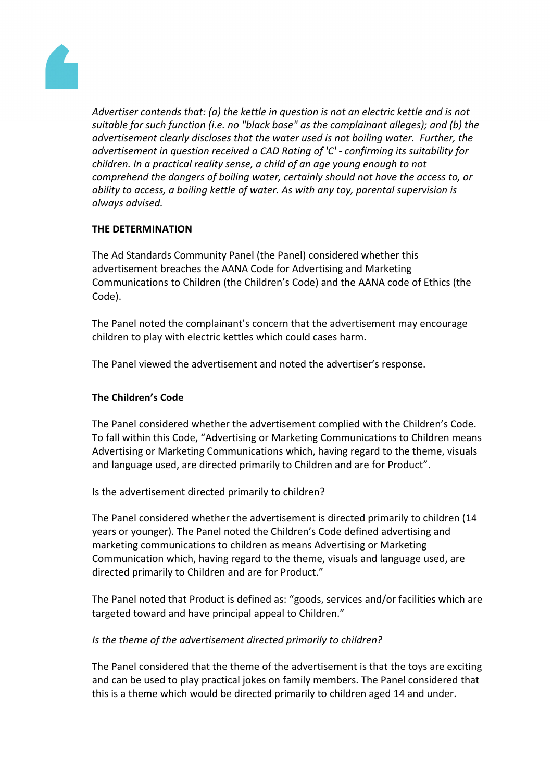

*Advertiser contends that: (a) the kettle in question is not an electric kettle and is not suitable for such function (i.e. no "black base" as the complainant alleges); and (b) the advertisement clearly discloses that the water used is not boiling water. Further, the advertisement in question received a CAD Rating of 'C' - confirming its suitability for children. In a practical reality sense, a child of an age young enough to not comprehend the dangers of boiling water, certainly should not have the access to, or ability to access, a boiling kettle of water. As with any toy, parental supervision is always advised.*

# **THE DETERMINATION**

The Ad Standards Community Panel (the Panel) considered whether this advertisement breaches the AANA Code for Advertising and Marketing Communications to Children (the Children's Code) and the AANA code of Ethics (the Code).

The Panel noted the complainant's concern that the advertisement may encourage children to play with electric kettles which could cases harm.

The Panel viewed the advertisement and noted the advertiser's response.

# **The Children's Code**

The Panel considered whether the advertisement complied with the Children's Code. To fall within this Code, "Advertising or Marketing Communications to Children means Advertising or Marketing Communications which, having regard to the theme, visuals and language used, are directed primarily to Children and are for Product".

# Is the advertisement directed primarily to children?

The Panel considered whether the advertisement is directed primarily to children (14 years or younger). The Panel noted the Children's Code defined advertising and marketing communications to children as means Advertising or Marketing Communication which, having regard to the theme, visuals and language used, are directed primarily to Children and are for Product."

The Panel noted that Product is defined as: "goods, services and/or facilities which are targeted toward and have principal appeal to Children."

# *Is the theme of the advertisement directed primarily to children?*

The Panel considered that the theme of the advertisement is that the toys are exciting and can be used to play practical jokes on family members. The Panel considered that this is a theme which would be directed primarily to children aged 14 and under.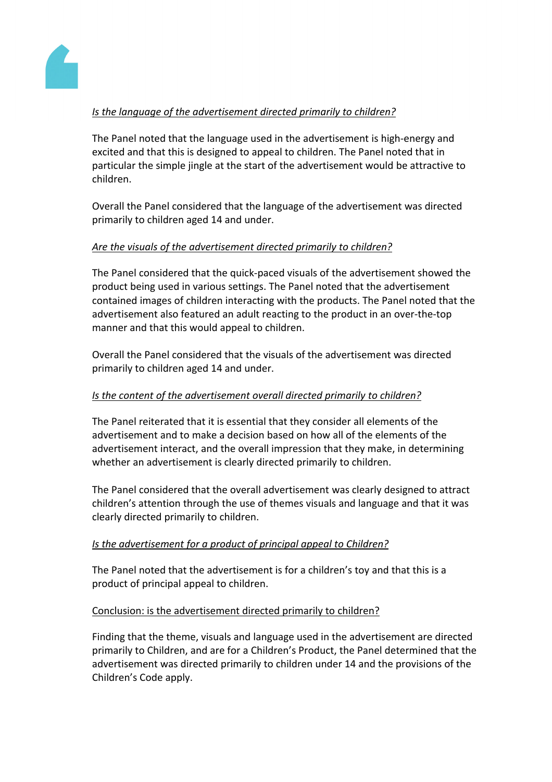

# *Is the language of the advertisement directed primarily to children?*

The Panel noted that the language used in the advertisement is high-energy and excited and that this is designed to appeal to children. The Panel noted that in particular the simple jingle at the start of the advertisement would be attractive to children.

Overall the Panel considered that the language of the advertisement was directed primarily to children aged 14 and under.

# *Are the visuals of the advertisement directed primarily to children?*

The Panel considered that the quick-paced visuals of the advertisement showed the product being used in various settings. The Panel noted that the advertisement contained images of children interacting with the products. The Panel noted that the advertisement also featured an adult reacting to the product in an over-the-top manner and that this would appeal to children.

Overall the Panel considered that the visuals of the advertisement was directed primarily to children aged 14 and under.

# *Is the content of the advertisement overall directed primarily to children?*

The Panel reiterated that it is essential that they consider all elements of the advertisement and to make a decision based on how all of the elements of the advertisement interact, and the overall impression that they make, in determining whether an advertisement is clearly directed primarily to children.

The Panel considered that the overall advertisement was clearly designed to attract children's attention through the use of themes visuals and language and that it was clearly directed primarily to children.

# *Is the advertisement for a product of principal appeal to Children?*

The Panel noted that the advertisement is for a children's toy and that this is a product of principal appeal to children.

# Conclusion: is the advertisement directed primarily to children?

Finding that the theme, visuals and language used in the advertisement are directed primarily to Children, and are for a Children's Product, the Panel determined that the advertisement was directed primarily to children under 14 and the provisions of the Children's Code apply.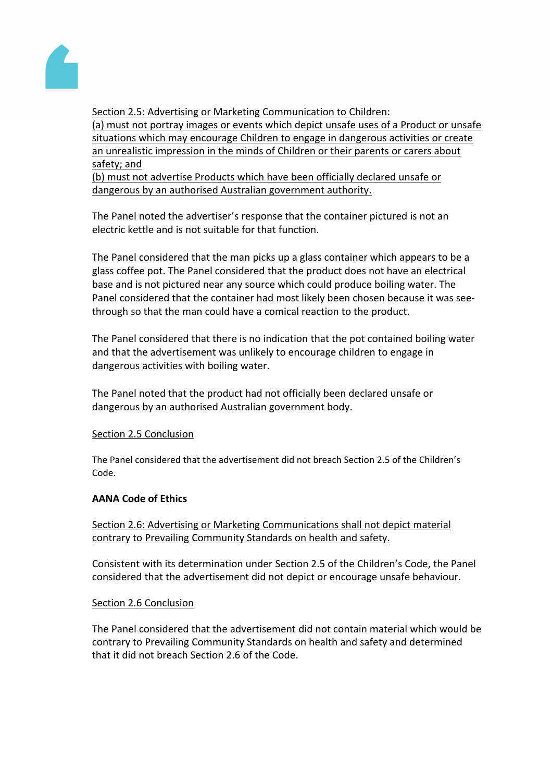

Section 2.5: Advertising or Marketing Communication to Children: (a) must not portray images or events which depict unsafe uses of a Product or unsafe situations which may encourage Children to engage in dangerous activities or create an unrealistic impression in the minds of Children or their parents or carers about safety; and

(b) must not advertise Products which have been officially declared unsafe or dangerous by an authorised Australian government authority.

The Panel noted the advertiser's response that the container pictured is not an electric kettle and is not suitable for that function.

The Panel considered that the man picks up a glass container which appears to be a glass coffee pot. The Panel considered that the product does not have an electrical base and is not pictured near any source which could produce boiling water. The Panel considered that the container had most likely been chosen because it was seethrough so that the man could have a comical reaction to the product.

The Panel considered that there is no indication that the pot contained boiling water and that the advertisement was unlikely to encourage children to engage in dangerous activities with boiling water.

The Panel noted that the product had not officially been declared unsafe or dangerous by an authorised Australian government body.

# Section 2.5 Conclusion

The Panel considered that the advertisement did not breach Section 2.5 of the Children's Code.

## **AANA Code of Ethics**

Section 2.6: Advertising or Marketing Communications shall not depict material contrary to Prevailing Community Standards on health and safety.

Consistent with its determination under Section 2.5 of the Children's Code, the Panel considered that the advertisement did not depict or encourage unsafe behaviour.

## Section 2.6 Conclusion

The Panel considered that the advertisement did not contain material which would be contrary to Prevailing Community Standards on health and safety and determined that it did not breach Section 2.6 of the Code.